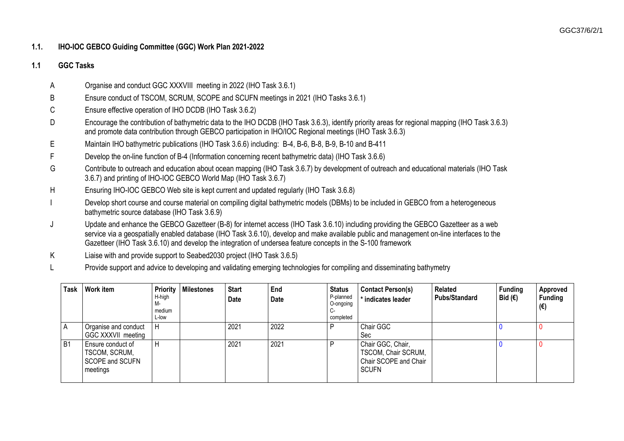## **1.1. IHO-IOC GEBCO Guiding Committee (GGC) Work Plan 2021-2022**

## **1.1 GGC Tasks**

- A Organise and conduct GGC XXXVIII meeting in 2022 (IHO Task 3.6.1)
- B Ensure conduct of TSCOM, SCRUM, SCOPE and SCUFN meetings in 2021 (IHO Tasks 3.6.1)
- C Ensure effective operation of IHO DCDB (IHO Task 3.6.2)
- D Encourage the contribution of bathymetric data to the IHO DCDB (IHO Task 3.6.3), identify priority areas for regional mapping (IHO Task 3.6.3) and promote data contribution through GEBCO participation in IHO/IOC Regional meetings (IHO Task 3.6.3)
- E Maintain IHO bathymetric publications (IHO Task 3.6.6) including: B-4, B-6, B-8, B-9, B-10 and B-411
- F Develop the on-line function of B-4 (Information concerning recent bathymetric data) (IHO Task 3.6.6)
- G Contribute to outreach and education about ocean mapping (IHO Task 3.6.7) by development of outreach and educational materials (IHO Task 3.6.7) and printing of IHO-IOC GEBCO World Map (IHO Task 3.6.7)
- H Ensuring IHO-IOC GEBCO Web site is kept current and updated regularly (IHO Task 3.6.8)
- Develop short course and course material on compiling digital bathymetric models (DBMs) to be included in GEBCO from a heterogeneous bathymetric source database (IHO Task 3.6.9)
- J Update and enhance the GEBCO Gazetteer (B-8) for internet access (IHO Task 3.6.10) including providing the GEBCO Gazetteer as a web service via a geospatially enabled database (IHO Task 3.6.10), develop and make available public and management on-line interfaces to the Gazetteer (IHO Task 3.6.10) and develop the integration of undersea feature concepts in the S-100 framework
- K Liaise with and provide support to Seabed2030 project (IHO Task 3.6.5)
- L Provide support and advice to developing and validating emerging technologies for compiling and disseminating bathymetry

| Task      | <b>Work item</b>                                                         | H-high<br>M-<br>medium<br>L-low | <b>Priority   Milestones</b> | <b>Start</b><br>Date | End<br><b>Date</b> | <b>Status</b><br>P-planned<br>O-ongoing<br>C-<br>completed | <b>Contact Person(s)</b><br>* indicates leader                                    | Related<br><b>Pubs/Standard</b> | <b>Funding</b><br>Bid $(€)$ | Approved<br><b>Funding</b><br>(€) |
|-----------|--------------------------------------------------------------------------|---------------------------------|------------------------------|----------------------|--------------------|------------------------------------------------------------|-----------------------------------------------------------------------------------|---------------------------------|-----------------------------|-----------------------------------|
| ΙA        | Organise and conduct<br>GGC XXXVII meeting                               | H                               |                              | 2021                 | 2022               |                                                            | Chair GGC<br>Sec                                                                  |                                 |                             |                                   |
| <b>B1</b> | Ensure conduct of<br>TSCOM, SCRUM,<br><b>SCOPE and SCUFN</b><br>meetings | H                               |                              | 2021                 | 2021               |                                                            | Chair GGC, Chair,<br>TSCOM, Chair SCRUM,<br>Chair SCOPE and Chair<br><b>SCUFN</b> |                                 |                             |                                   |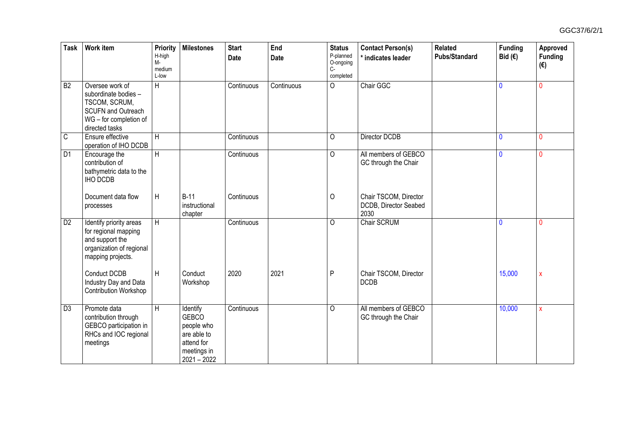| Task           | <b>Work item</b>                                                                                                                  | Priority<br>H-high<br>M-<br>medium<br>L-low | <b>Milestones</b>                                                                                   | <b>Start</b><br><b>Date</b> | End<br>Date | <b>Status</b><br>P-planned<br>O-ongoing<br>$C -$<br>completed | <b>Contact Person(s)</b><br>* indicates leader         | <b>Related</b><br><b>Pubs/Standard</b> | <b>Funding</b><br>Bid $(\epsilon)$ | Approved<br>Funding<br>$(\epsilon)$ |
|----------------|-----------------------------------------------------------------------------------------------------------------------------------|---------------------------------------------|-----------------------------------------------------------------------------------------------------|-----------------------------|-------------|---------------------------------------------------------------|--------------------------------------------------------|----------------------------------------|------------------------------------|-------------------------------------|
| B <sub>2</sub> | Oversee work of<br>subordinate bodies -<br>TSCOM, SCRUM,<br><b>SCUFN and Outreach</b><br>WG - for completion of<br>directed tasks | H                                           |                                                                                                     | Continuous                  | Continuous  | $\overline{0}$                                                | Chair GGC                                              |                                        | $\mathbf{0}$                       | $\Omega$                            |
| $\mathsf C$    | Ensure effective<br>operation of IHO DCDB                                                                                         | H                                           |                                                                                                     | Continuous                  |             | O                                                             | Director DCDB                                          |                                        | $\mathbf 0$                        | $\mathbf{0}$                        |
| D <sub>1</sub> | Encourage the<br>contribution of<br>bathymetric data to the<br>IHO DCDB                                                           | H                                           |                                                                                                     | Continuous                  |             | 0                                                             | All members of GEBCO<br>GC through the Chair           |                                        | $\mathbf 0$                        | $\mathbf{0}$                        |
|                | Document data flow<br>processes                                                                                                   | H                                           | $B-11$<br>instructional<br>chapter                                                                  | Continuous                  |             | O                                                             | Chair TSCOM, Director<br>DCDB, Director Seabed<br>2030 |                                        |                                    |                                     |
| D <sub>2</sub> | Identify priority areas<br>for regional mapping<br>and support the<br>organization of regional<br>mapping projects.               | H                                           |                                                                                                     | Continuous                  |             | 0                                                             | <b>Chair SCRUM</b>                                     |                                        | $\mathbf{0}$                       | $\Omega$                            |
|                | Conduct DCDB<br>Industry Day and Data<br><b>Contribution Workshop</b>                                                             | H                                           | Conduct<br>Workshop                                                                                 | 2020                        | 2021        | $\mathsf{P}$                                                  | Chair TSCOM, Director<br><b>DCDB</b>                   |                                        | 15,000                             | $\boldsymbol{\mathsf{X}}$           |
| D <sub>3</sub> | Promote data<br>contribution through<br>GEBCO participation in<br>RHCs and IOC regional<br>meetings                               | H                                           | Identify<br><b>GEBCO</b><br>people who<br>are able to<br>attend for<br>meetings in<br>$2021 - 2022$ | Continuous                  |             | O                                                             | All members of GEBCO<br>GC through the Chair           |                                        | 10,000                             | X                                   |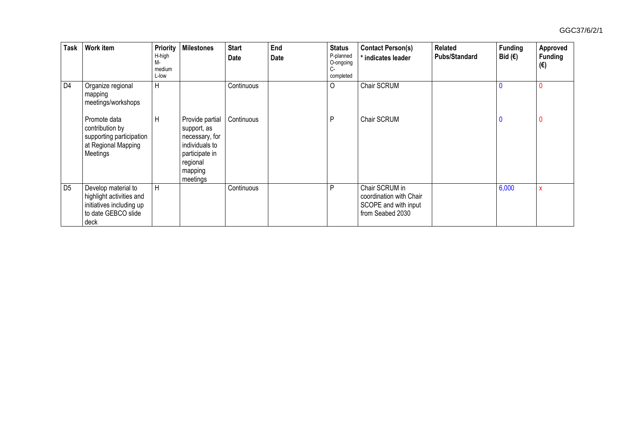| <b>Task</b>    | Work item                                                                                                  | <b>Priority</b><br>H-high<br>М-<br>medium<br>L-low | <b>Milestones</b>                                                                                                       | <b>Start</b><br>Date | End<br>Date | <b>Status</b><br>P-planned<br>O-ongoing<br>C-<br>completed | <b>Contact Person(s)</b><br>tindicates leader                                         | Related<br><b>Pubs/Standard</b> | <b>Funding</b><br>Bid $(E)$ | Approved<br><b>Funding</b><br>(€) |
|----------------|------------------------------------------------------------------------------------------------------------|----------------------------------------------------|-------------------------------------------------------------------------------------------------------------------------|----------------------|-------------|------------------------------------------------------------|---------------------------------------------------------------------------------------|---------------------------------|-----------------------------|-----------------------------------|
| D4             | Organize regional<br>mapping<br>meetings/workshops                                                         | H                                                  |                                                                                                                         | Continuous           |             | $\circ$                                                    | <b>Chair SCRUM</b>                                                                    |                                 |                             | 0                                 |
|                | Promote data<br>contribution by<br>supporting participation<br>at Regional Mapping<br>Meetings             | H                                                  | Provide partial<br>support, as<br>necessary, for<br>individuals to<br>participate in<br>regional<br>mapping<br>meetings | Continuous           |             | P                                                          | Chair SCRUM                                                                           |                                 | 0                           | 0                                 |
| D <sub>5</sub> | Develop material to<br>highlight activities and<br>initiatives including up<br>to date GEBCO slide<br>deck | H                                                  |                                                                                                                         | Continuous           |             | P                                                          | Chair SCRUM in<br>coordination with Chair<br>SCOPE and with input<br>from Seabed 2030 |                                 | 6,000                       | X                                 |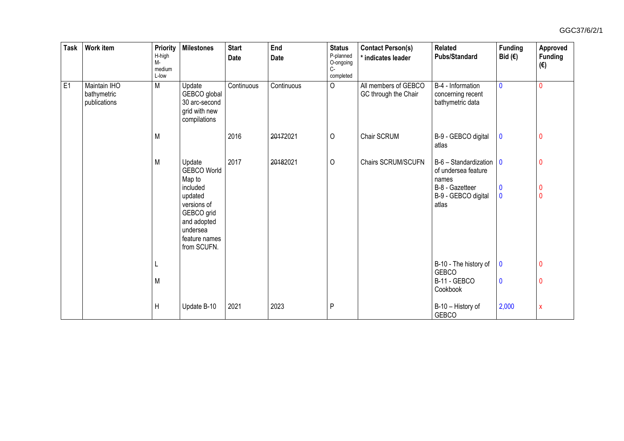| <b>Task</b> | <b>Work item</b>                            | Priority<br>H-high<br>M-<br>medium<br>L-low | <b>Milestones</b>                                                                                                                                     | <b>Start</b><br>Date | End<br>Date | <b>Status</b><br>P-planned<br>O-ongoing<br>$C -$<br>completed | <b>Contact Person(s)</b><br>indicates leader | <b>Related</b><br><b>Pubs/Standard</b>                                                                   | <b>Funding</b><br>Bid $(\epsilon)$             | Approved<br><b>Funding</b><br>$(\epsilon)$ |
|-------------|---------------------------------------------|---------------------------------------------|-------------------------------------------------------------------------------------------------------------------------------------------------------|----------------------|-------------|---------------------------------------------------------------|----------------------------------------------|----------------------------------------------------------------------------------------------------------|------------------------------------------------|--------------------------------------------|
| E1          | Maintain IHO<br>bathymetric<br>publications | M                                           | Update<br>GEBCO global<br>30 arc-second<br>grid with new<br>compilations                                                                              | Continuous           | Continuous  | $\circ$                                                       | All members of GEBCO<br>GC through the Chair | B-4 - Information<br>concerning recent<br>bathymetric data                                               | $\mathbf 0$                                    | $\mathbf{0}$                               |
|             |                                             | M                                           |                                                                                                                                                       | 2016                 | 20172021    | $\circ$                                                       | Chair SCRUM                                  | B-9 - GEBCO digital<br>atlas                                                                             | $\bf{0}$                                       | $\mathbf 0$                                |
|             |                                             | M                                           | Update<br><b>GEBCO World</b><br>Map to<br>included<br>updated<br>versions of<br>GEBCO grid<br>and adopted<br>undersea<br>feature names<br>from SCUFN. | 2017                 | 20182021    | $\circ$                                                       | Chairs SCRUM/SCUFN                           | B-6 - Standardization<br>of undersea feature<br>names<br>B-8 - Gazetteer<br>B-9 - GEBCO digital<br>atlas | $\mathbf 0$<br>$\boldsymbol{0}$<br>$\mathbf 0$ | 0<br>$\bf{0}$<br>$\mathbf{0}$              |
|             |                                             |                                             |                                                                                                                                                       |                      |             |                                                               |                                              | B-10 - The history of<br><b>GEBCO</b>                                                                    | 0                                              | $\boldsymbol{0}$                           |
|             |                                             | M                                           |                                                                                                                                                       |                      |             |                                                               |                                              | B-11 - GEBCO<br>Cookbook                                                                                 | $\mathbf 0$                                    | 0                                          |
|             |                                             | $\mathsf{H}$                                | Update B-10                                                                                                                                           | 2021                 | 2023        | P                                                             |                                              | B-10 - History of<br><b>GEBCO</b>                                                                        | 2,000                                          | $\mathsf{x}$                               |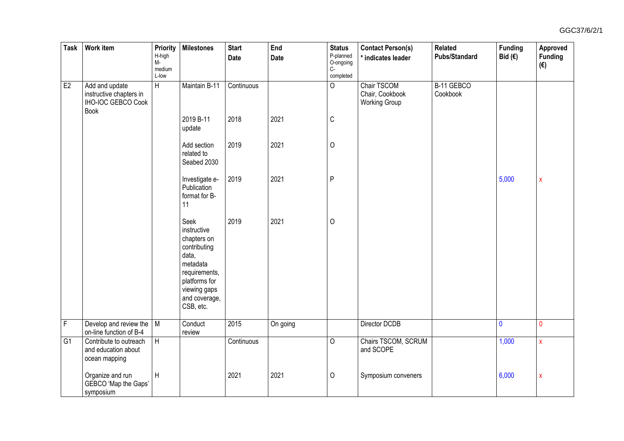| <b>Task</b>    | Work item                                                                      | Priority<br>H-high<br>$M -$<br>medium<br>L-low | Milestones                                                                                                                                              | <b>Start</b><br>Date | End<br>Date | <b>Status</b><br>P-planned<br>O-ongoing<br>$C -$<br>completed | <b>Contact Person(s)</b><br>* indicates leader         | <b>Related</b><br><b>Pubs/Standard</b> | <b>Funding</b><br>Bid $(\epsilon)$ | Approved<br>Funding<br>$(\epsilon)$ |
|----------------|--------------------------------------------------------------------------------|------------------------------------------------|---------------------------------------------------------------------------------------------------------------------------------------------------------|----------------------|-------------|---------------------------------------------------------------|--------------------------------------------------------|----------------------------------------|------------------------------------|-------------------------------------|
| E2             | Add and update<br>instructive chapters in<br>IHO-IOC GEBCO Cook<br><b>Book</b> | H                                              | Maintain B-11                                                                                                                                           | Continuous           |             | $\mathsf{O}$                                                  | Chair TSCOM<br>Chair, Cookbook<br><b>Working Group</b> | B-11 GEBCO<br>Cookbook                 |                                    |                                     |
|                |                                                                                |                                                | 2019 B-11<br>update                                                                                                                                     | 2018                 | 2021        | $\mathsf C$                                                   |                                                        |                                        |                                    |                                     |
|                |                                                                                |                                                | Add section<br>related to<br>Seabed 2030                                                                                                                | 2019                 | 2021        | $\mathsf O$                                                   |                                                        |                                        |                                    |                                     |
|                |                                                                                |                                                | Investigate e-<br>Publication<br>format for B-<br>11                                                                                                    | 2019                 | 2021        | $\mathsf{P}$                                                  |                                                        |                                        | 5,000                              | $\pmb{\mathsf{X}}$                  |
|                |                                                                                |                                                | Seek<br>instructive<br>chapters on<br>contributing<br>data,<br>metadata<br>requirements,<br>platforms for<br>viewing gaps<br>and coverage,<br>CSB, etc. | 2019                 | 2021        | $\mathsf O$                                                   |                                                        |                                        |                                    |                                     |
| $\overline{F}$ | Develop and review the<br>on-line function of B-4                              | M                                              | Conduct<br>review                                                                                                                                       | 2015                 | On going    |                                                               | Director DCDB                                          |                                        | $\overline{\mathbf{0}}$            | $\mathbf{0}$                        |
| G1             | Contribute to outreach<br>and education about<br>ocean mapping                 | H                                              |                                                                                                                                                         | Continuous           |             | $\overline{0}$                                                | Chairs TSCOM, SCRUM<br>and SCOPE                       |                                        | 1,000                              | $\pmb{\mathsf{X}}$                  |
|                | Organize and run<br>GEBCO 'Map the Gaps'<br>symposium                          | H                                              |                                                                                                                                                         | 2021                 | 2021        | $\circ$                                                       | Symposium conveners                                    |                                        | 6,000                              | $\pmb{\mathsf{X}}$                  |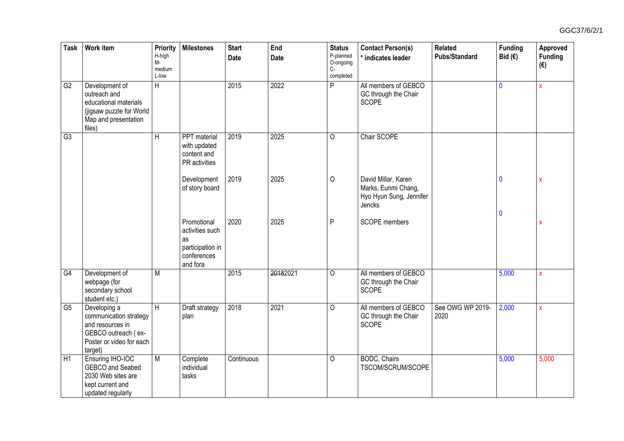| Task            | <b>Work item</b>                                                                                                         | Priority<br>H-high<br>M-<br>medium<br>L-low | <b>Milestones</b>                                                                   | <b>Start</b><br>Date | End<br>Date | <b>Status</b><br>P-planned<br>O-ongoing<br>$C -$<br>completed | <b>Contact Person(s)</b><br>* indicates leader                                  | <b>Related</b><br><b>Pubs/Standard</b> | <b>Funding</b><br>Bid $(€)$ | Approved<br>Funding<br>$(\epsilon)$ |
|-----------------|--------------------------------------------------------------------------------------------------------------------------|---------------------------------------------|-------------------------------------------------------------------------------------|----------------------|-------------|---------------------------------------------------------------|---------------------------------------------------------------------------------|----------------------------------------|-----------------------------|-------------------------------------|
| G2              | Development of<br>outreach and<br>educational materials<br>(jigsaw puzzle for World<br>Map and presentation<br>files)    | $\overline{H}$                              |                                                                                     | 2015                 | 2022        | $\overline{\mathsf{P}}$                                       | All members of GEBCO<br>GC through the Chair<br><b>SCOPE</b>                    |                                        | $\mathbf{0}$                | $\pmb{\chi}$                        |
| G3              |                                                                                                                          | $\overline{H}$                              | <b>PPT</b> material<br>with updated<br>content and<br>PR activities                 | 2019                 | 2025        | 0                                                             | Chair SCOPE                                                                     |                                        |                             |                                     |
|                 |                                                                                                                          |                                             | Development<br>of story board                                                       | 2019                 | 2025        | $\circ$                                                       | David Millar, Karen<br>Marks, Eunmi Chang,<br>Hyo Hyun Sung, Jennifer<br>Jencks |                                        | $\mathbf 0$                 | X                                   |
|                 |                                                                                                                          |                                             | Promotional<br>activities such<br>as<br>participation in<br>conferences<br>and fora | 2020                 | 2025        | $\mathsf{P}$                                                  | <b>SCOPE</b> members                                                            |                                        | $\mathbf 0$                 | $\boldsymbol{\mathsf{x}}$           |
| G4              | Development of<br>webpage (for<br>secondary school<br>student etc.)                                                      | $\overline{M}$                              |                                                                                     | 2015                 | 20182021    | 0                                                             | All members of GEBCO<br>GC through the Chair<br><b>SCOPE</b>                    |                                        | 5,000                       | $\mathsf{x}$                        |
| $\overline{G5}$ | Developing a<br>communication strategy<br>and resources in<br>GEBCO outreach (ex-<br>Poster or video for each<br>target) | $\overline{H}$                              | Draft strategy<br>plan                                                              | 2018                 | 2021        | 0                                                             | All members of GEBCO<br>GC through the Chair<br><b>SCOPE</b>                    | See OWG WP 2019-<br>2020               | 2,000                       | X                                   |
| H1              | Ensuring IHO-IOC<br>GEBCO and Seabed<br>2030 Web sites are<br>kept current and<br>updated regularly                      | $\overline{M}$                              | Complete<br>individual<br>tasks                                                     | Continuous           |             | $\circ$                                                       | <b>BODC, Chairs</b><br>TSCOM/SCRUM/SCOPE                                        |                                        | 5,000                       | 5,000                               |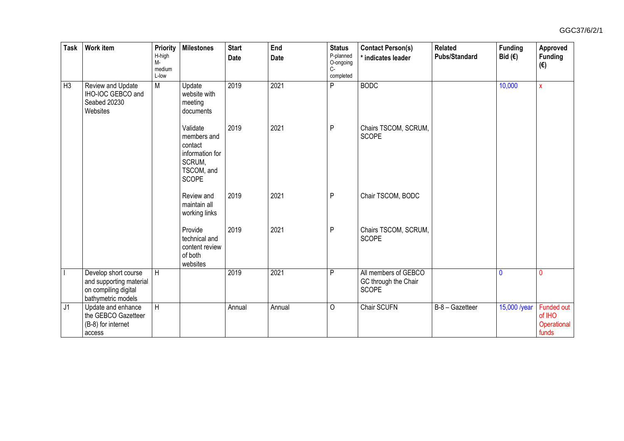| <b>Task</b>    | <b>Work item</b>                                                                              | Priority<br>H-high<br>M-<br>medium<br>L-low | <b>Milestones</b>                                                                             | <b>Start</b><br><b>Date</b> | End<br><b>Date</b> | <b>Status</b><br>P-planned<br>O-ongoing<br>$C -$<br>completed | <b>Contact Person(s)</b><br>indicates leader                 | Related<br><b>Pubs/Standard</b> | <b>Funding</b><br>Bid $(E)$ | Approved<br><b>Funding</b><br>$(\boldsymbol{\epsilon})$ |
|----------------|-----------------------------------------------------------------------------------------------|---------------------------------------------|-----------------------------------------------------------------------------------------------|-----------------------------|--------------------|---------------------------------------------------------------|--------------------------------------------------------------|---------------------------------|-----------------------------|---------------------------------------------------------|
| H <sub>3</sub> | Review and Update<br>IHO-IOC GEBCO and<br>Seabed 20230<br>Websites                            | $\overline{M}$                              | Update<br>website with<br>meeting<br>documents                                                | 2019                        | 2021               | P                                                             | <b>BODC</b>                                                  |                                 | 10,000                      | $\bar{\mathbf{x}}$                                      |
|                |                                                                                               |                                             | Validate<br>members and<br>contact<br>information for<br>SCRUM,<br>TSCOM, and<br><b>SCOPE</b> | 2019                        | 2021               | P                                                             | Chairs TSCOM, SCRUM,<br><b>SCOPE</b>                         |                                 |                             |                                                         |
|                |                                                                                               |                                             | Review and<br>maintain all<br>working links                                                   | 2019                        | 2021               | P                                                             | Chair TSCOM, BODC                                            |                                 |                             |                                                         |
|                |                                                                                               |                                             | Provide<br>technical and<br>content review<br>of both<br>websites                             | 2019                        | 2021               | P                                                             | Chairs TSCOM, SCRUM,<br><b>SCOPE</b>                         |                                 |                             |                                                         |
| $\overline{1}$ | Develop short course<br>and supporting material<br>on compiling digital<br>bathymetric models | $\overline{H}$                              |                                                                                               | 2019                        | 2021               | P                                                             | All members of GEBCO<br>GC through the Chair<br><b>SCOPE</b> |                                 | 0                           | $\mathbf{0}$                                            |
| J1             | Update and enhance<br>the GEBCO Gazetteer<br>(B-8) for internet<br>access                     | $\overline{H}$                              |                                                                                               | Annual                      | Annual             | $\mathsf{O}$                                                  | Chair SCUFN                                                  | B-8 - Gazetteer                 | 15,000 /year                | Funded out<br>of IHO<br>Operational<br>funds            |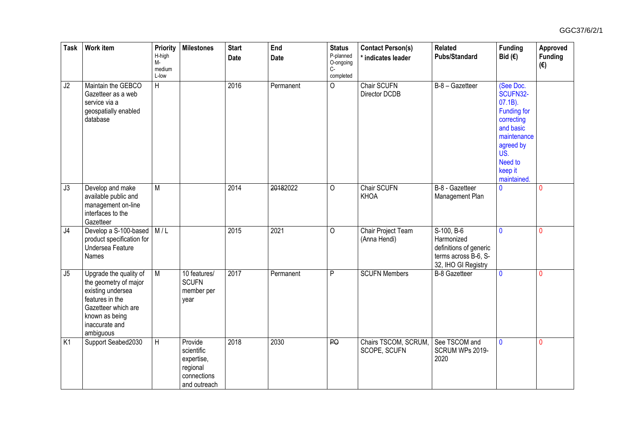| <b>Task</b>              | <b>Work item</b>                                                                                                                                                | Priority<br>H-high<br>M-<br>medium<br>L-low | <b>Milestones</b>                                                              | <b>Start</b><br><b>Date</b> | End<br>Date | <b>Status</b><br>P-planned<br>O-ongoing<br>$C-$<br>completed | <b>Contact Person(s)</b><br>* indicates leader | <b>Related</b><br><b>Pubs/Standard</b>                                                            | <b>Funding</b><br>Bid $(€)$                                                                                                                           | Approved<br>Funding<br>$(\epsilon)$ |
|--------------------------|-----------------------------------------------------------------------------------------------------------------------------------------------------------------|---------------------------------------------|--------------------------------------------------------------------------------|-----------------------------|-------------|--------------------------------------------------------------|------------------------------------------------|---------------------------------------------------------------------------------------------------|-------------------------------------------------------------------------------------------------------------------------------------------------------|-------------------------------------|
| J2                       | Maintain the GEBCO<br>Gazetteer as a web<br>service via a<br>geospatially enabled<br>database                                                                   | $\overline{H}$                              |                                                                                | 2016                        | Permanent   | $\overline{0}$                                               | Chair SCUFN<br>Director DCDB                   | B-8 - Gazetteer                                                                                   | (See Doc.<br>SCUFN32-<br>$07.1B$ ).<br>Funding for<br>correcting<br>and basic<br>maintenance<br>agreed by<br>US.<br>Need to<br>keep it<br>maintained. |                                     |
| $\overline{J3}$          | Develop and make<br>available public and<br>management on-line<br>interfaces to the<br>Gazetteer                                                                | $\overline{M}$                              |                                                                                | 2014                        | 20182022    | $\circ$                                                      | <b>Chair SCUFN</b><br>KHOA                     | B-8 - Gazetteer<br>Management Plan                                                                | $\overline{\mathbf{0}}$                                                                                                                               | $\Omega$                            |
| J4                       | Develop a S-100-based   M / L<br>product specification for<br>Undersea Feature<br>Names                                                                         |                                             |                                                                                | 2015                        | 2021        | O                                                            | <b>Chair Project Team</b><br>(Anna Hendi)      | S-100, B-6<br>Harmonized<br>definitions of generic<br>terms across B-6, S-<br>32, IHO GI Registry | $\mathbf{0}$                                                                                                                                          | $\Omega$                            |
| $\overline{\mathsf{J}5}$ | Upgrade the quality of<br>the geometry of major<br>existing undersea<br>features in the<br>Gazetteer which are<br>known as being<br>inaccurate and<br>ambiguous | M                                           | 10 features/<br><b>SCUFN</b><br>member per<br>year                             | 2017                        | Permanent   | $\overline{P}$                                               | <b>SCUFN Members</b>                           | <b>B-8 Gazetteer</b>                                                                              | $\mathbf 0$                                                                                                                                           | $\mathbf{0}$                        |
| K1                       | Support Seabed2030                                                                                                                                              | $\overline{H}$                              | Provide<br>scientific<br>expertise,<br>regional<br>connections<br>and outreach | 2018                        | 2030        | $\overline{B}$                                               | Chairs TSCOM, SCRUM,<br>SCOPE, SCUFN           | See TSCOM and<br>SCRUM WPs 2019-<br>2020                                                          | $\mathbf{0}$                                                                                                                                          | $\mathbf{0}$                        |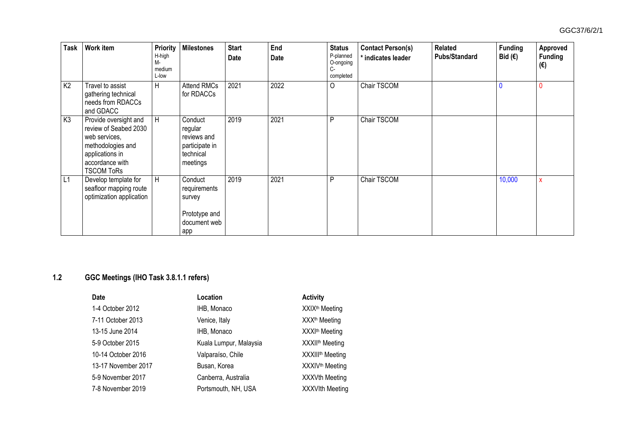| <b>Task</b>    | Work item                                                                                                                                       | <b>Priority</b><br>H-high<br>М-<br>medium<br>L-low | <b>Milestones</b>                                                            | <b>Start</b><br>Date | End<br>Date | <b>Status</b><br>P-planned<br>O-ongoing<br>$C -$<br>completed | <b>Contact Person(s)</b><br>* indicates leader | <b>Related</b><br><b>Pubs/Standard</b> | <b>Funding</b><br>Bid $(€)$ | Approved<br><b>Funding</b><br>(€) |
|----------------|-------------------------------------------------------------------------------------------------------------------------------------------------|----------------------------------------------------|------------------------------------------------------------------------------|----------------------|-------------|---------------------------------------------------------------|------------------------------------------------|----------------------------------------|-----------------------------|-----------------------------------|
| K <sub>2</sub> | Travel to assist<br>gathering technical<br>needs from RDACCs<br>and GDACC                                                                       | H                                                  | <b>Attend RMCs</b><br>for RDACCs                                             | 2021                 | 2022        | $\circ$                                                       | Chair TSCOM                                    |                                        |                             |                                   |
| K <sub>3</sub> | Provide oversight and<br>review of Seabed 2030<br>web services,<br>methodologies and<br>applications in<br>accordance with<br><b>TSCOM ToRs</b> | H                                                  | Conduct<br>regular<br>reviews and<br>participate in<br>technical<br>meetings | 2019                 | 2021        | P                                                             | Chair TSCOM                                    |                                        |                             |                                   |
| L1             | Develop template for<br>seafloor mapping route<br>optimization application                                                                      | H                                                  | Conduct<br>requirements<br>survey<br>Prototype and<br>document web<br>app    | 2019                 | 2021        | P                                                             | Chair TSCOM                                    |                                        | 10,000                      | X                                 |

## **1.2 GGC Meetings (IHO Task 3.8.1.1 refers)**

| <b>Date</b>         | Location               | <b>Activity</b>              |
|---------------------|------------------------|------------------------------|
| 1-4 October 2012    | IHB, Monaco            | XXIX <sup>th</sup> Meeting   |
| 7-11 October 2013   | Venice, Italy          | XXX <sup>th</sup> Meeting    |
| 13-15 June 2014     | IHB, Monaco            | XXXI <sup>th</sup> Meeting   |
| 5-9 October 2015    | Kuala Lumpur, Malaysia | XXXII <sup>th</sup> Meeting  |
| 10-14 October 2016  | Valparaíso, Chile      | XXXIII <sup>th</sup> Meeting |
| 13-17 November 2017 | Busan, Korea           | XXXIV <sup>th</sup> Meeting  |
| 5-9 November 2017   | Canberra, Australia    | <b>XXXVth Meeting</b>        |
| 7-8 November 2019   | Portsmouth, NH, USA    | <b>XXXVIth Meeting</b>       |